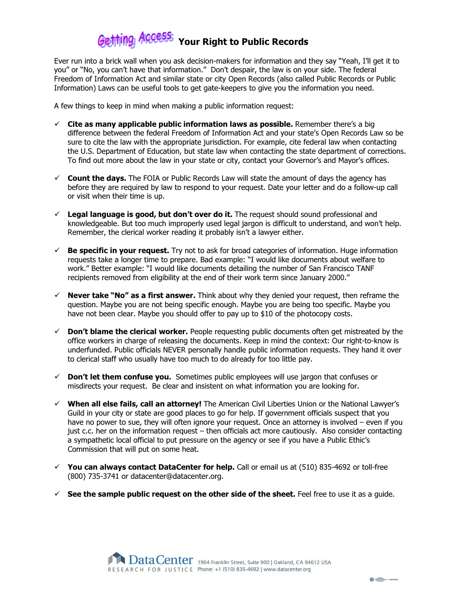## thing ACCESSS Your Right to Public Records

Ever run into a brick wall when you ask decision-makers for information and they say "Yeah, I'll get it to you" or "No, you can't have that information." Don't despair, the law is on your side. The federal Freedom of Information Act and similar state or city Open Records (also called Public Records or Public Information) Laws can be useful tools to get gate-keepers to give you the information you need.

A few things to keep in mind when making a public information request:

- $\checkmark$  Cite as many applicable public information laws as possible. Remember there's a big difference between the federal Freedom of Information Act and your state's Open Records Law so be sure to cite the law with the appropriate jurisdiction. For example, cite federal law when contacting the U.S. Department of Education, but state law when contacting the state department of corrections. To find out more about the law in your state or city, contact your Governor's and Mayor's offices.
- $\checkmark$  Count the days. The FOIA or Public Records Law will state the amount of days the agency has before they are required by law to respond to your request. Date your letter and do a follow-up call or visit when their time is up.
- $\checkmark$  Legal language is good, but don't over do it. The request should sound professional and knowledgeable. But too much improperly used legal jargon is difficult to understand, and won't help. Remember, the clerical worker reading it probably isn't a lawyer either.
- $\checkmark$  Be specific in your request. Try not to ask for broad categories of information. Huge information requests take a longer time to prepare. Bad example: "I would like documents about welfare to work." Better example: "I would like documents detailing the number of San Francisco TANF recipients removed from eligibility at the end of their work term since January 2000."
- $\checkmark$  Never take "No" as a first answer. Think about why they denied your request, then reframe the question. Maybe you are not being specific enough. Maybe you are being too specific. Maybe you have not been clear. Maybe you should offer to pay up to \$10 of the photocopy costs.
- $\checkmark$  Don't blame the clerical worker. People requesting public documents often get mistreated by the office workers in charge of releasing the documents. Keep in mind the context: Our right-to-know is underfunded. Public officials NEVER personally handle public information requests. They hand it over to clerical staff who usually have too much to do already for too little pay.
- $\checkmark$  Don't let them confuse you. Sometimes public employees will use jargon that confuses or misdirects your request. Be clear and insistent on what information you are looking for.
- $\checkmark$  When all else fails, call an attorney! The American Civil Liberties Union or the National Lawyer's Guild in your city or state are good places to go for help. If government officials suspect that you have no power to sue, they will often ignore your request. Once an attorney is involved – even if you just c.c. her on the information request – then officials act more cautiously. Also consider contacting a sympathetic local official to put pressure on the agency or see if you have a Public Ethic's Commission that will put on some heat.
- $\checkmark$  You can always contact DataCenter for help. Call or email us at (510) 835-4692 or toll-free (800) 735-3741 or datacenter@datacenter.org.
- $\checkmark$  See the sample public request on the other side of the sheet. Feel free to use it as a guide.